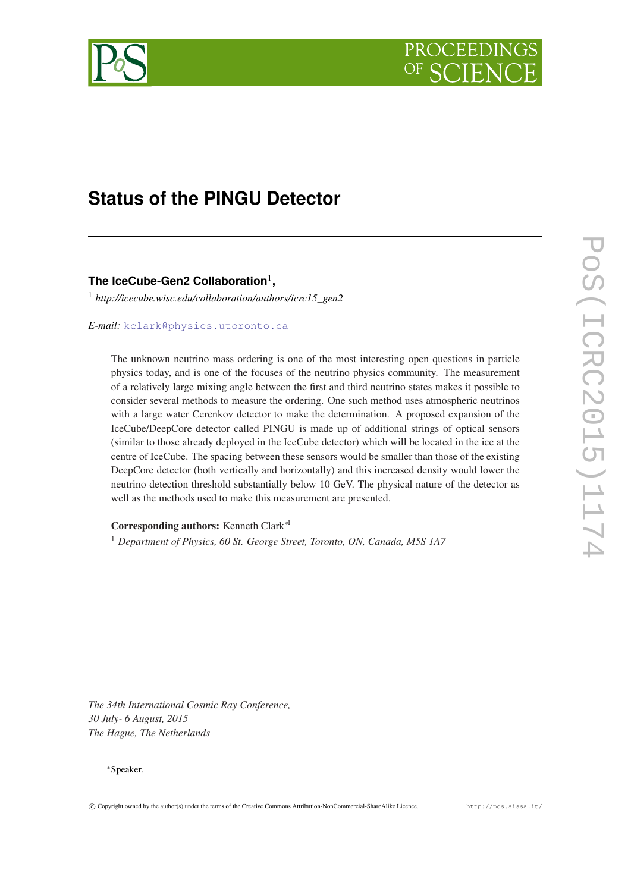

# **Status of the PINGU Detector**

## **The IceCube-Gen2 Collaboration**<sup>1</sup> **,**

<sup>1</sup> *http://icecube.wisc.edu/collaboration/authors/icrc15\_gen2*

## *E-mail:* [kclark@physics.utoronto.ca](mailto:kclark@physics.utoronto.ca)

The unknown neutrino mass ordering is one of the most interesting open questions in particle physics today, and is one of the focuses of the neutrino physics community. The measurement of a relatively large mixing angle between the first and third neutrino states makes it possible to consider several methods to measure the ordering. One such method uses atmospheric neutrinos with a large water Cerenkov detector to make the determination. A proposed expansion of the IceCube/DeepCore detector called PINGU is made up of additional strings of optical sensors (similar to those already deployed in the IceCube detector) which will be located in the ice at the centre of IceCube. The spacing between these sensors would be smaller than those of the existing DeepCore detector (both vertically and horizontally) and this increased density would lower the neutrino detection threshold substantially below 10 GeV. The physical nature of the detector as well as the methods used to make this measurement are presented.

Corresponding authors: Kenneth Clark∗<sup>1</sup>

<sup>1</sup> *Department of Physics, 60 St. George Street, Toronto, ON, Canada, M5S 1A7*

*The 34th International Cosmic Ray Conference, 30 July- 6 August, 2015 The Hague, The Netherlands*

## <sup>∗</sup>Speaker.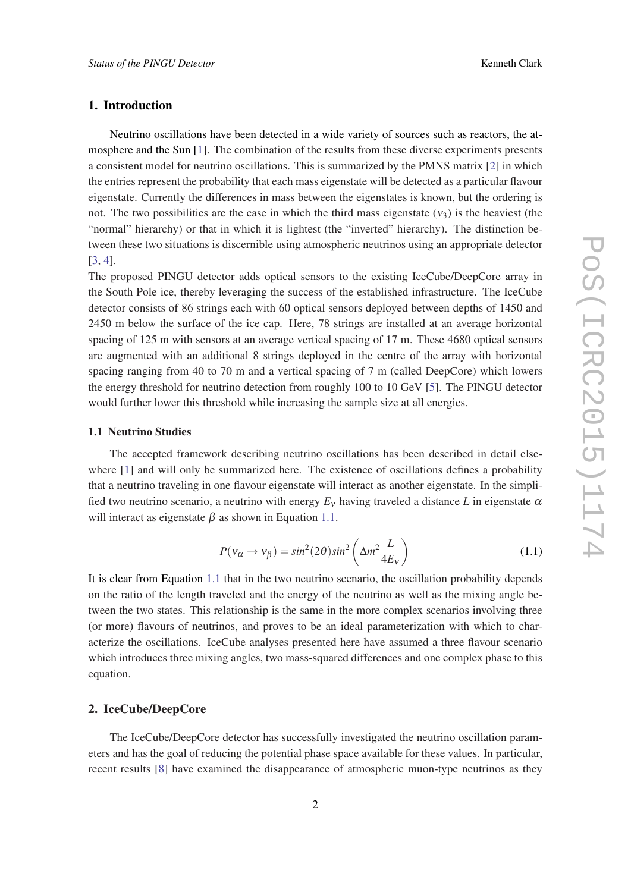## 1. Introduction

Neutrino oscillations have been detected in a wide variety of sources such as reactors, the atmosphere and the Sun [\[1\]](#page-7-0). The combination of the results from these diverse experiments presents a consistent model for neutrino oscillations. This is summarized by the PMNS matrix [\[2\]](#page-7-0) in which the entries represent the probability that each mass eigenstate will be detected as a particular flavour eigenstate. Currently the differences in mass between the eigenstates is known, but the ordering is not. The two possibilities are the case in which the third mass eigenstate  $(v_3)$  is the heaviest (the "normal" hierarchy) or that in which it is lightest (the "inverted" hierarchy). The distinction between these two situations is discernible using atmospheric neutrinos using an appropriate detector [[3](#page-7-0), [4](#page-7-0)].

The proposed PINGU detector adds optical sensors to the existing IceCube/DeepCore array in the South Pole ice, thereby leveraging the success of the established infrastructure. The IceCube detector consists of 86 strings each with 60 optical sensors deployed between depths of 1450 and 2450 m below the surface of the ice cap. Here, 78 strings are installed at an average horizontal spacing of 125 m with sensors at an average vertical spacing of 17 m. These 4680 optical sensors are augmented with an additional 8 strings deployed in the centre of the array with horizontal spacing ranging from 40 to 70 m and a vertical spacing of 7 m (called DeepCore) which lowers the energy threshold for neutrino detection from roughly 100 to 10 GeV [\[5\]](#page-7-0). The PINGU detector would further lower this threshold while increasing the sample size at all energies.

#### 1.1 Neutrino Studies

The accepted framework describing neutrino oscillations has been described in detail else-where [\[1\]](#page-7-0) and will only be summarized here. The existence of oscillations defines a probability that a neutrino traveling in one flavour eigenstate will interact as another eigenstate. In the simplified two neutrino scenario, a neutrino with energy  $E<sub>v</sub>$  having traveled a distance L in eigenstate  $\alpha$ will interact as eigenstate  $\beta$  as shown in Equation 1.1.

$$
P(v_{\alpha} \to v_{\beta}) = \sin^2(2\theta)\sin^2\left(\Delta m^2 \frac{L}{4E_v}\right)
$$
 (1.1)

It is clear from Equation 1.1 that in the two neutrino scenario, the oscillation probability depends on the ratio of the length traveled and the energy of the neutrino as well as the mixing angle between the two states. This relationship is the same in the more complex scenarios involving three (or more) flavours of neutrinos, and proves to be an ideal parameterization with which to characterize the oscillations. IceCube analyses presented here have assumed a three flavour scenario which introduces three mixing angles, two mass-squared differences and one complex phase to this equation.

#### 2. IceCube/DeepCore

The IceCube/DeepCore detector has successfully investigated the neutrino oscillation parameters and has the goal of reducing the potential phase space available for these values. In particular, recent results [[8](#page-7-0)] have examined the disappearance of atmospheric muon-type neutrinos as they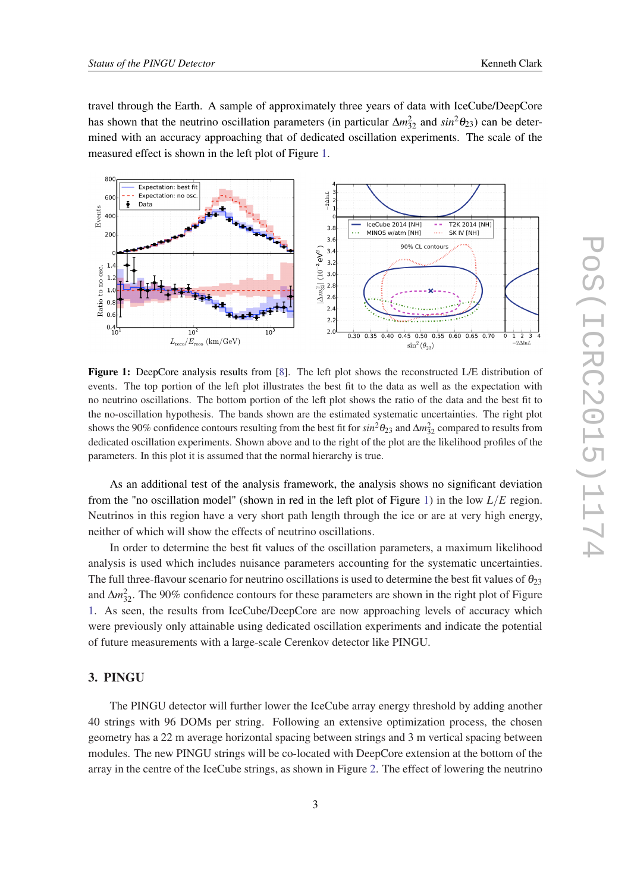travel through the Earth. A sample of approximately three years of data with IceCube/DeepCore has shown that the neutrino oscillation parameters (in particular  $\Delta m_{32}^2$  and  $sin^2\theta_{23}$ ) can be determined with an accuracy approaching that of dedicated oscillation experiments. The scale of the measured effect is shown in the left plot of Figure 1.



Figure 1: DeepCore analysis results from [\[8](#page-7-0)]. The left plot shows the reconstructed L/E distribution of events. The top portion of the left plot illustrates the best fit to the data as well as the expectation with no neutrino oscillations. The bottom portion of the left plot shows the ratio of the data and the best fit to the no-oscillation hypothesis. The bands shown are the estimated systematic uncertainties. The right plot shows the 90% confidence contours resulting from the best fit for  $sin^2\theta_{23}$  and  $\Delta m^2_{32}$  compared to results from dedicated oscillation experiments. Shown above and to the right of the plot are the likelihood profiles of the parameters. In this plot it is assumed that the normal hierarchy is true.

As an additional test of the analysis framework, the analysis shows no significant deviation from the "no oscillation model" (shown in red in the left plot of Figure 1) in the low *L*/*E* region. Neutrinos in this region have a very short path length through the ice or are at very high energy, neither of which will show the effects of neutrino oscillations.

In order to determine the best fit values of the oscillation parameters, a maximum likelihood analysis is used which includes nuisance parameters accounting for the systematic uncertainties. The full three-flavour scenario for neutrino oscillations is used to determine the best fit values of  $\theta_{23}$ and  $\Delta m_{32}^2$ . The 90% confidence contours for these parameters are shown in the right plot of Figure 1. As seen, the results from IceCube/DeepCore are now approaching levels of accuracy which were previously only attainable using dedicated oscillation experiments and indicate the potential of future measurements with a large-scale Cerenkov detector like PINGU.

## 3. PINGU

The PINGU detector will further lower the IceCube array energy threshold by adding another 40 strings with 96 DOMs per string. Following an extensive optimization process, the chosen geometry has a 22 m average horizontal spacing between strings and 3 m vertical spacing between modules. The new PINGU strings will be co-located with DeepCore extension at the bottom of the array in the centre of the IceCube strings, as shown in Figure [2.](#page-3-0) The effect of lowering the neutrino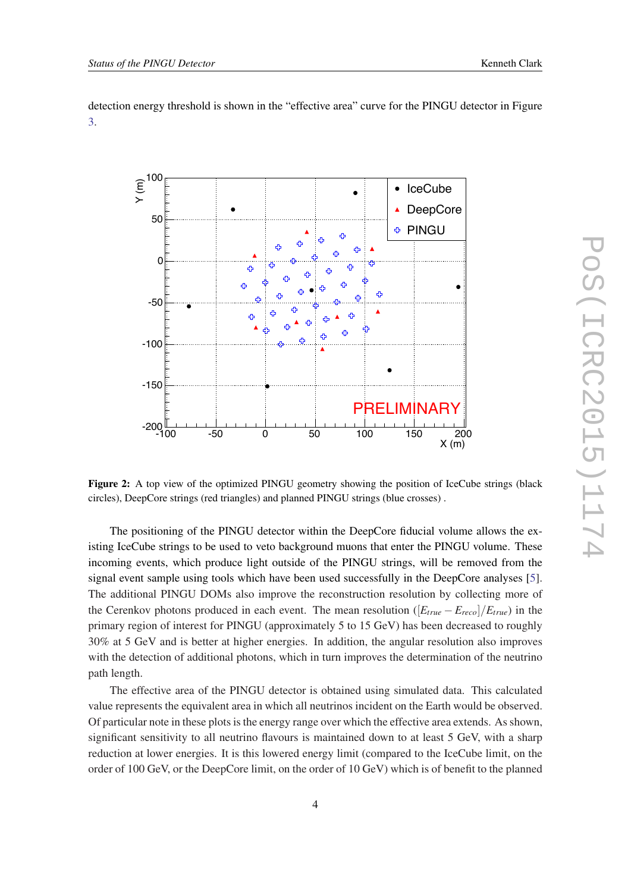<span id="page-3-0"></span>detection energy threshold is shown in the "effective area" curve for the PINGU detector in Figure [3.](#page-4-0)



Figure 2: A top view of the optimized PINGU geometry showing the position of IceCube strings (black circles), DeepCore strings (red triangles) and planned PINGU strings (blue crosses) .

The positioning of the PINGU detector within the DeepCore fiducial volume allows the existing IceCube strings to be used to veto background muons that enter the PINGU volume. These incoming events, which produce light outside of the PINGU strings, will be removed from the signal event sample using tools which have been used successfully in the DeepCore analyses [\[5\]](#page-7-0). The additional PINGU DOMs also improve the reconstruction resolution by collecting more of the Cerenkov photons produced in each event. The mean resolution  $([E_{true} - E_{reco}]/E_{true})$  in the primary region of interest for PINGU (approximately 5 to 15 GeV) has been decreased to roughly 30% at 5 GeV and is better at higher energies. In addition, the angular resolution also improves with the detection of additional photons, which in turn improves the determination of the neutrino path length.

The effective area of the PINGU detector is obtained using simulated data. This calculated value represents the equivalent area in which all neutrinos incident on the Earth would be observed. Of particular note in these plots is the energy range over which the effective area extends. As shown, significant sensitivity to all neutrino flavours is maintained down to at least 5 GeV, with a sharp reduction at lower energies. It is this lowered energy limit (compared to the IceCube limit, on the order of 100 GeV, or the DeepCore limit, on the order of 10 GeV) which is of benefit to the planned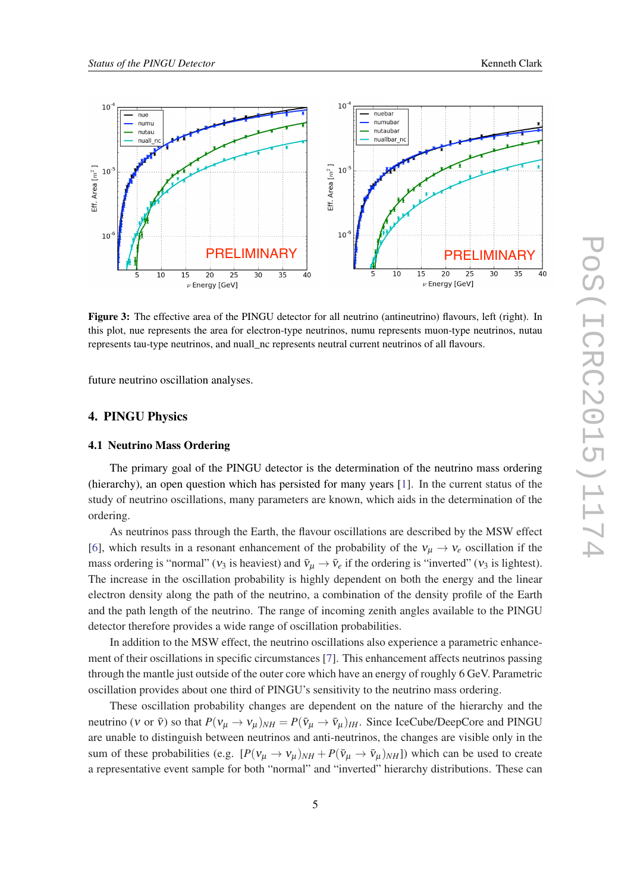<span id="page-4-0"></span>

Figure 3: The effective area of the PINGU detector for all neutrino (antineutrino) flavours, left (right). In this plot, nue represents the area for electron-type neutrinos, numu represents muon-type neutrinos, nutau represents tau-type neutrinos, and nuall\_nc represents neutral current neutrinos of all flavours.

future neutrino oscillation analyses.

## 4. PINGU Physics

## 4.1 Neutrino Mass Ordering

The primary goal of the PINGU detector is the determination of the neutrino mass ordering (hierarchy), an open question which has persisted for many years [[1](#page-7-0)]. In the current status of the study of neutrino oscillations, many parameters are known, which aids in the determination of the ordering.

As neutrinos pass through the Earth, the flavour oscillations are described by the MSW effect [[6](#page-7-0)], which results in a resonant enhancement of the probability of the  $v_{\mu} \rightarrow v_e$  oscillation if the mass ordering is "normal" ( $v_3$  is heaviest) and  $\bar{v}_\mu \to \bar{v}_e$  if the ordering is "inverted" ( $v_3$  is lightest). The increase in the oscillation probability is highly dependent on both the energy and the linear electron density along the path of the neutrino, a combination of the density profile of the Earth and the path length of the neutrino. The range of incoming zenith angles available to the PINGU detector therefore provides a wide range of oscillation probabilities.

In addition to the MSW effect, the neutrino oscillations also experience a parametric enhancement of their oscillations in specific circumstances [\[7\]](#page-7-0). This enhancement affects neutrinos passing through the mantle just outside of the outer core which have an energy of roughly 6 GeV. Parametric oscillation provides about one third of PINGU's sensitivity to the neutrino mass ordering.

These oscillation probability changes are dependent on the nature of the hierarchy and the neutrino (v or  $\bar{v}$ ) so that  $P(v_\mu \to v_\mu)_{NH} = P(\bar{v}_\mu \to \bar{v}_\mu)_{IH}$ . Since IceCube/DeepCore and PINGU are unable to distinguish between neutrinos and anti-neutrinos, the changes are visible only in the sum of these probabilities (e.g.  $[P(v_{\mu} \to v_{\mu})_{NH} + P(\bar{v}_{\mu} \to \bar{v}_{\mu})_{NH}]$ ) which can be used to create a representative event sample for both "normal" and "inverted" hierarchy distributions. These can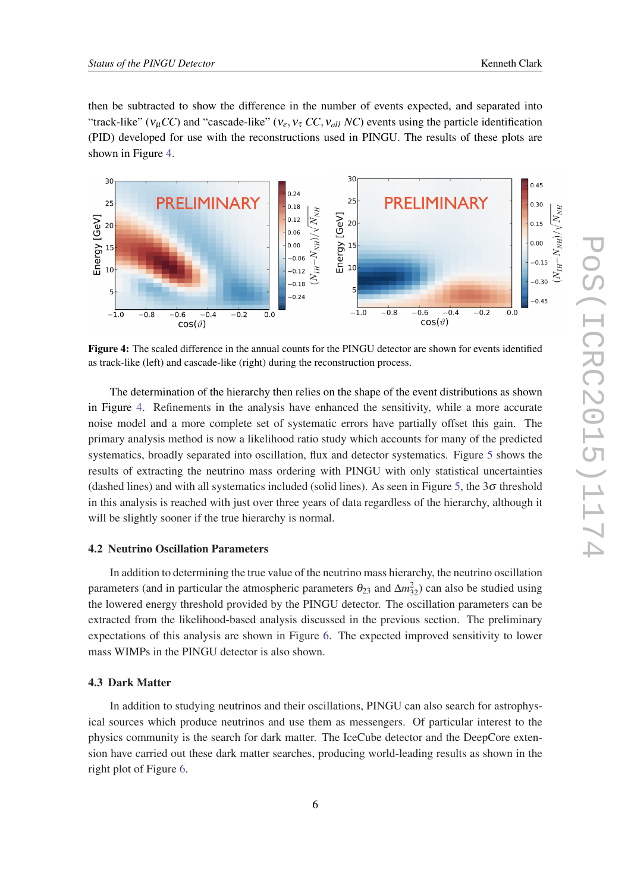then be subtracted to show the difference in the number of events expected, and separated into "track-like" ( $v_{\mu}CC$ ) and "cascade-like" ( $v_e, v_\tau CC, v_{all} NC$ ) events using the particle identification (PID) developed for use with the reconstructions used in PINGU. The results of these plots are shown in Figure 4.



Figure 4: The scaled difference in the annual counts for the PINGU detector are shown for events identified as track-like (left) and cascade-like (right) during the reconstruction process.

The determination of the hierarchy then relies on the shape of the event distributions as shown in Figure 4. Refinements in the analysis have enhanced the sensitivity, while a more accurate noise model and a more complete set of systematic errors have partially offset this gain. The primary analysis method is now a likelihood ratio study which accounts for many of the predicted systematics, broadly separated into oscillation, flux and detector systematics. Figure [5](#page-6-0) shows the results of extracting the neutrino mass ordering with PINGU with only statistical uncertainties (dashed lines) and with all systematics included (solid lines). As seen in Figure [5,](#page-6-0) the  $3\sigma$  threshold in this analysis is reached with just over three years of data regardless of the hierarchy, although it will be slightly sooner if the true hierarchy is normal.

#### 4.2 Neutrino Oscillation Parameters

In addition to determining the true value of the neutrino mass hierarchy, the neutrino oscillation parameters (and in particular the atmospheric parameters  $\theta_{23}$  and  $\Delta m_{32}^2$ ) can also be studied using the lowered energy threshold provided by the PINGU detector. The oscillation parameters can be extracted from the likelihood-based analysis discussed in the previous section. The preliminary expectations of this analysis are shown in Figure [6](#page-7-0). The expected improved sensitivity to lower mass WIMPs in the PINGU detector is also shown.

## 4.3 Dark Matter

In addition to studying neutrinos and their oscillations, PINGU can also search for astrophysical sources which produce neutrinos and use them as messengers. Of particular interest to the physics community is the search for dark matter. The IceCube detector and the DeepCore extension have carried out these dark matter searches, producing world-leading results as shown in the right plot of Figure [6.](#page-7-0)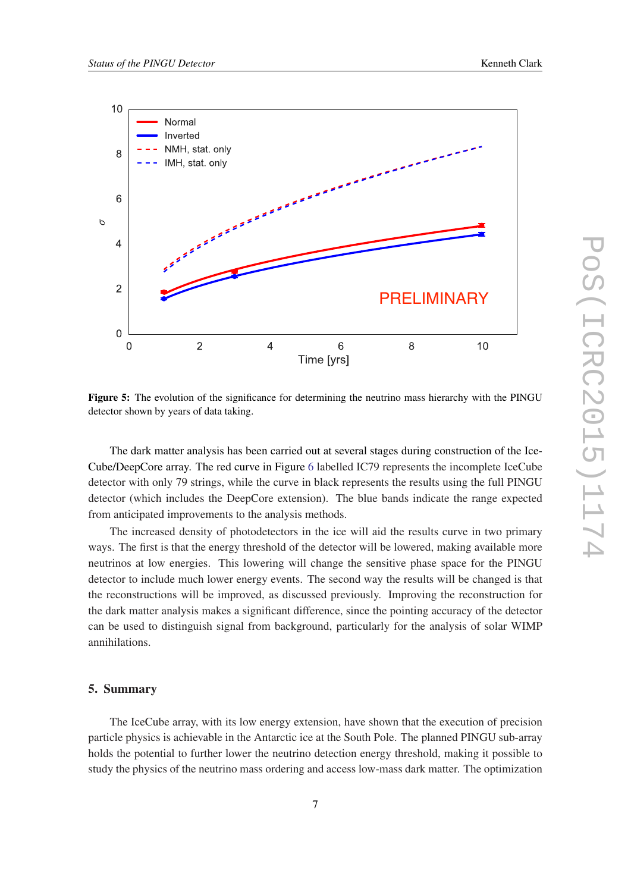<span id="page-6-0"></span>

Figure 5: The evolution of the significance for determining the neutrino mass hierarchy with the PINGU detector shown by years of data taking.

The dark matter analysis has been carried out at several stages during construction of the Ice-Cube/DeepCore array. The red curve in Figure [6](#page-7-0) labelled IC79 represents the incomplete IceCube detector with only 79 strings, while the curve in black represents the results using the full PINGU detector (which includes the DeepCore extension). The blue bands indicate the range expected from anticipated improvements to the analysis methods.

The increased density of photodetectors in the ice will aid the results curve in two primary ways. The first is that the energy threshold of the detector will be lowered, making available more neutrinos at low energies. This lowering will change the sensitive phase space for the PINGU detector to include much lower energy events. The second way the results will be changed is that the reconstructions will be improved, as discussed previously. Improving the reconstruction for the dark matter analysis makes a significant difference, since the pointing accuracy of the detector can be used to distinguish signal from background, particularly for the analysis of solar WIMP annihilations.

#### 5. Summary

The IceCube array, with its low energy extension, have shown that the execution of precision particle physics is achievable in the Antarctic ice at the South Pole. The planned PINGU sub-array holds the potential to further lower the neutrino detection energy threshold, making it possible to study the physics of the neutrino mass ordering and access low-mass dark matter. The optimization